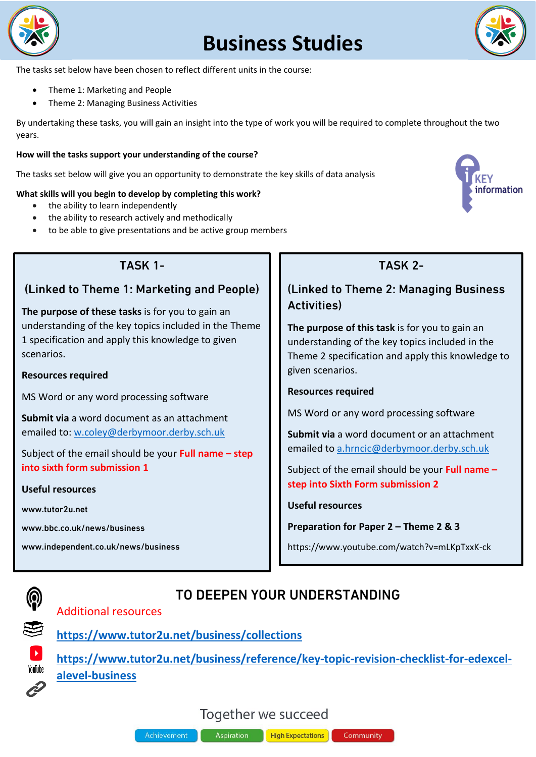

# **Business Studies**



The tasks set below have been chosen to reflect different units in the course:

- Theme 1: Marketing and People
- Theme 2: Managing Business Activities

By undertaking these tasks, you will gain an insight into the type of work you will be required to complete throughout the two years.

#### **How will the tasks support your understanding of the course?**

The tasks set below will give you an opportunity to demonstrate the key skills of data analysis

#### **What skills will you begin to develop by completing this work?**

- the ability to learn independently
- the ability to research actively and methodically
- to be able to give presentations and be active group members



## TASK 1-

### (Linked to Theme 1: Marketing and People)

**The purpose of these tasks** is for you to gain an understanding of the key topics included in the Theme 1 specification and apply this knowledge to given scenarios.

#### **Resources required**

MS Word or any word processing software

**Submit via** a word document as an attachment emailed to: [w.coley@derbymoor.derby.sch.uk](mailto:w.coley@derbymoor.derby.sch.uk)

Subject of the email should be your **Full name – step into sixth form submission 1**

#### **Useful resources**

www.tutor2u.net

www.bbc.co.uk/news/business

www.independent.co.uk/news/business

# TASK 2-

## (Linked to Theme 2: Managing Business Activities)

**The purpose of this task** is for you to gain an understanding of the key topics included in the Theme 2 specification and apply this knowledge to given scenarios.

#### **Resources required**

MS Word or any word processing software

**Submit via** a word document or an attachment emailed to [a.hrncic@derbymoor.derby.sch.uk](mailto:a.hrncic@derbymoor.derby.sch.uk)

Subject of the email should be your **Full name – step into Sixth Form submission 2**

#### **Useful resources**

**Preparation for Paper 2 – Theme 2 & 3**

Community

https://www.youtube.com/watch?v=mLKpTxxK-ck



## Additional resources



YouTube

**<https://www.tutor2u.net/business/collections>**

**[https://www.tutor2u.net/business/reference/key-topic-revision-checklist-for-edexcel](https://www.tutor2u.net/business/reference/key-topic-revision-checklist-for-edexcel-alevel-business)[alevel-business](https://www.tutor2u.net/business/reference/key-topic-revision-checklist-for-edexcel-alevel-business)**

TO DEEPEN YOUR UNDERSTANDING

# Together we succeed